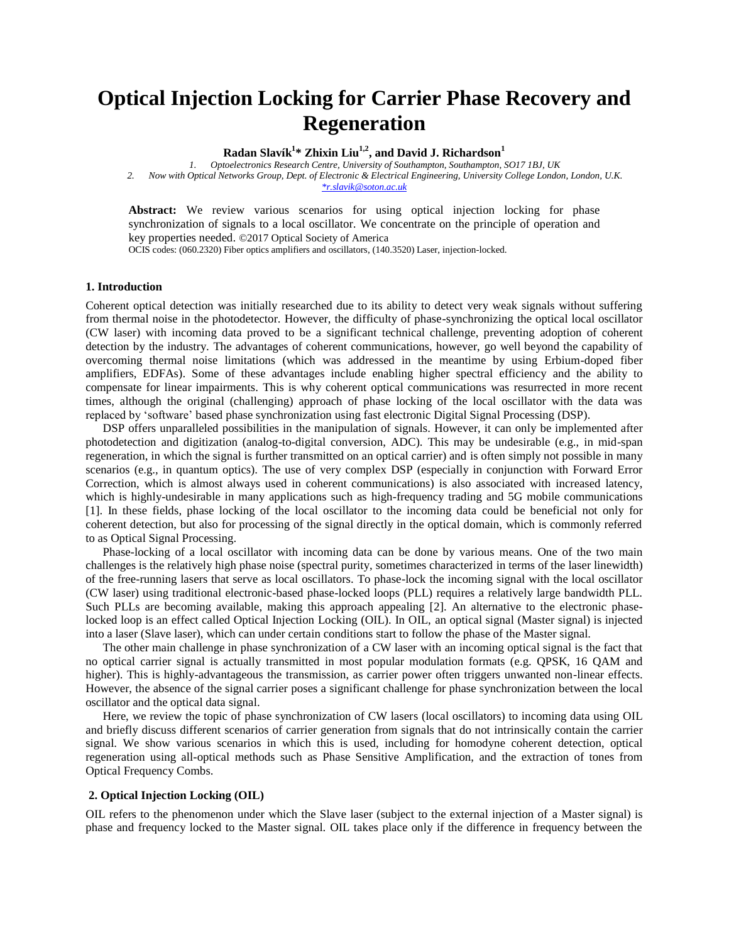# **Optical Injection Locking for Carrier Phase Recovery and Regeneration**

**Radan Slavík 1 \* Zhixin Liu1,2, and David J. Richardson<sup>1</sup>**

*1. Optoelectronics Research Centre, University of Southampton, Southampton, SO17 1BJ, UK 2. Now with Optical Networks Group, Dept. of Electronic & Electrical Engineering, University College London, London, U.K. [\\*r.slavik@soton.ac.uk](mailto:r.slavik@soton.ac.uk)*

**Abstract:** We review various scenarios for using optical injection locking for phase synchronization of signals to a local oscillator. We concentrate on the principle of operation and key properties needed. ©2017 Optical Society of America

OCIS codes: (060.2320) Fiber optics amplifiers and oscillators, (140.3520) Laser, injection-locked.

### **1. Introduction**

Coherent optical detection was initially researched due to its ability to detect very weak signals without suffering from thermal noise in the photodetector. However, the difficulty of phase-synchronizing the optical local oscillator (CW laser) with incoming data proved to be a significant technical challenge, preventing adoption of coherent detection by the industry. The advantages of coherent communications, however, go well beyond the capability of overcoming thermal noise limitations (which was addressed in the meantime by using Erbium-doped fiber amplifiers, EDFAs). Some of these advantages include enabling higher spectral efficiency and the ability to compensate for linear impairments. This is why coherent optical communications was resurrected in more recent times, although the original (challenging) approach of phase locking of the local oscillator with the data was replaced by 'software' based phase synchronization using fast electronic Digital Signal Processing (DSP).

DSP offers unparalleled possibilities in the manipulation of signals. However, it can only be implemented after photodetection and digitization (analog-to-digital conversion, ADC). This may be undesirable (e.g., in mid-span regeneration, in which the signal is further transmitted on an optical carrier) and is often simply not possible in many scenarios (e.g., in quantum optics). The use of very complex DSP (especially in conjunction with Forward Error Correction, which is almost always used in coherent communications) is also associated with increased latency, which is highly-undesirable in many applications such as high-frequency trading and 5G mobile communications [\[1\]](#page-2-0). In these fields, phase locking of the local oscillator to the incoming data could be beneficial not only for coherent detection, but also for processing of the signal directly in the optical domain, which is commonly referred to as Optical Signal Processing.

Phase-locking of a local oscillator with incoming data can be done by various means. One of the two main challenges is the relatively high phase noise (spectral purity, sometimes characterized in terms of the laser linewidth) of the free-running lasers that serve as local oscillators. To phase-lock the incoming signal with the local oscillator (CW laser) using traditional electronic-based phase-locked loops (PLL) requires a relatively large bandwidth PLL. Such PLLs are becoming available, making this approach appealing [\[2\]](#page-2-1). An alternative to the electronic phaselocked loop is an effect called Optical Injection Locking (OIL). In OIL, an optical signal (Master signal) is injected into a laser (Slave laser), which can under certain conditions start to follow the phase of the Master signal.

The other main challenge in phase synchronization of a CW laser with an incoming optical signal is the fact that no optical carrier signal is actually transmitted in most popular modulation formats (e.g. QPSK, 16 QAM and higher). This is highly-advantageous the transmission, as carrier power often triggers unwanted non-linear effects. However, the absence of the signal carrier poses a significant challenge for phase synchronization between the local oscillator and the optical data signal.

Here, we review the topic of phase synchronization of CW lasers (local oscillators) to incoming data using OIL and briefly discuss different scenarios of carrier generation from signals that do not intrinsically contain the carrier signal. We show various scenarios in which this is used, including for homodyne coherent detection, optical regeneration using all-optical methods such as Phase Sensitive Amplification, and the extraction of tones from Optical Frequency Combs.

#### **2. Optical Injection Locking (OIL)**

OIL refers to the phenomenon under which the Slave laser (subject to the external injection of a Master signal) is phase and frequency locked to the Master signal. OIL takes place only if the difference in frequency between the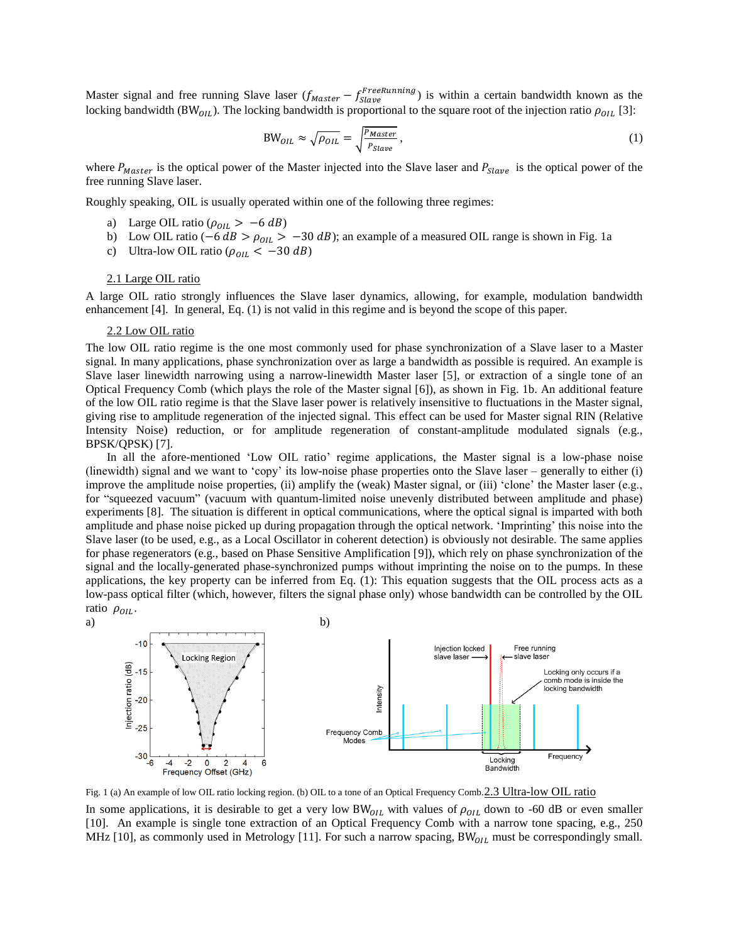Master signal and free running Slave laser  $(f_{Master} - f_{Slave}^{FreeRunning})$  is within a certain bandwidth known as the locking bandwidth (BW<sub>OIL</sub>). The locking bandwidth is proportional to the square root of the injection ratio  $\rho_{0IL}$  [\[3\]](#page-2-2):

$$
BW_{OIL} \approx \sqrt{\rho_{OIL}} = \sqrt{\frac{P_{Master}}{P_{Slave}}},\tag{1}
$$

where  $P_{Master}$  is the optical power of the Master injected into the Slave laser and  $P_{Slave}$  is the optical power of the free running Slave laser.

Roughly speaking, OIL is usually operated within one of the following three regimes:

- a) Large OIL ratio ( $\rho_{OIL} > -6 dB$ )
- b) Low OIL ratio (−6  $dB > \rho_{OIL} > -30$  dB); an example of a measured OIL range is shown in Fig. 1a
- c) Ultra-low OIL ratio ( $\rho_{0IL} < -30 dB$ )

#### 2.1 Large OIL ratio

A large OIL ratio strongly influences the Slave laser dynamics, allowing, for example, modulation bandwidth enhancement [\[4\]](#page-2-3). In general, Eq. (1) is not valid in this regime and is beyond the scope of this paper.

#### 2.2 Low OIL ratio

The low OIL ratio regime is the one most commonly used for phase synchronization of a Slave laser to a Master signal. In many applications, phase synchronization over as large a bandwidth as possible is required. An example is Slave laser linewidth narrowing using a narrow-linewidth Master laser [\[5\]](#page-2-4), or extraction of a single tone of an Optical Frequency Comb (which plays the role of the Master signal [\[6\]](#page-2-5)), as shown in Fig. 1b. An additional feature of the low OIL ratio regime is that the Slave laser power is relatively insensitive to fluctuations in the Master signal, giving rise to amplitude regeneration of the injected signal. This effect can be used for Master signal RIN (Relative Intensity Noise) reduction, or for amplitude regeneration of constant-amplitude modulated signals (e.g., BPSK/QPSK) [\[7\]](#page-2-6).

In all the afore-mentioned 'Low OIL ratio' regime applications, the Master signal is a low-phase noise (linewidth) signal and we want to 'copy' its low-noise phase properties onto the Slave laser – generally to either (i) improve the amplitude noise properties, (ii) amplify the (weak) Master signal, or (iii) 'clone' the Master laser (e.g., for "squeezed vacuum" (vacuum with quantum-limited noise unevenly distributed between amplitude and phase) experiments [\[8\]](#page-2-7). The situation is different in optical communications, where the optical signal is imparted with both amplitude and phase noise picked up during propagation through the optical network. 'Imprinting' this noise into the Slave laser (to be used, e.g., as a Local Oscillator in coherent detection) is obviously not desirable. The same applies for phase regenerators (e.g., based on Phase Sensitive Amplification [\[9\]](#page-2-8)), which rely on phase synchronization of the signal and the locally-generated phase-synchronized pumps without imprinting the noise on to the pumps. In these applications, the key property can be inferred from Eq. (1): This equation suggests that the OIL process acts as a low-pass optical filter (which, however, filters the signal phase only) whose bandwidth can be controlled by the OIL ratio  $\rho_{0IL}$ .



Fig. 1 (a) An example of low OIL ratio locking region. (b) OIL to a tone of an Optical Frequency Comb.2.3 Ultra-low OIL ratio

In some applications, it is desirable to get a very low BW<sub>0IL</sub> with values of  $\rho_{0IL}$  down to -60 dB or even smaller [\[10\]](#page-2-9). An example is single tone extraction of an Optical Frequency Comb with a narrow tone spacing, e.g., 250 MHz [\[10\]](#page-2-9), as commonly used in Metrology [\[11\]](#page-2-10). For such a narrow spacing,  $BW_{OIL}$  must be correspondingly small.